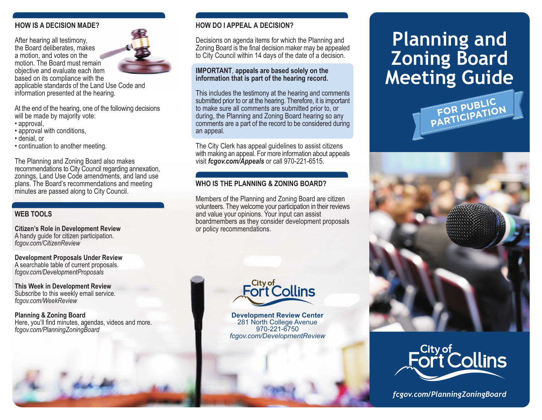#### **HOW IS A DECISION MADE?**

After hearing all testimony, the Board deliberates, makes a motion, and votes on the motion. The Board must remain objective and evaluate each item based on its compliance with the applicable standards of the Land Use Code and information presented at the hearing.

At the end of the hearing, one of the following decisions will be made by majority vote:

- approval,
- approval with conditions.
- · denial. or
- continuation to another meeting.

The Planning and Zoning Board also makes recommendations to City Council regarding annexation. zonings, Land Use Code amendments, and land use plans. The Board's recommendations and meeting minutes are passed along to City Council.

#### **WEB TOOLS**

**Citizen's Role in Development Review** A handy guide for citizen participation. fcgov.com/CitizenReview

**Development Proposals Under Review** A searchable table of current proposals. fcgov.com/DevelopmentProposals

This Week in Development Review Subscribe to this weekly email service. fcgov.com/WeekReview

**Planning & Zoning Board** Here, you'll find minutes, agendas, videos and more. fcgov.com/PlanningZoningBoard





#### **HOW DO LAPPEAL A DECISION?**

Decisions on agenda items for which the Planning and Zoning Board is the final decision maker may be appealed to City Council within 14 days of the date of a decision.

#### IMPORTANT, appeals are based solely on the information that is part of the hearing record.

This includes the testimony at the hearing and comments submitted prior to or at the hearing. Therefore, it is important to make sure all comments are submitted prior to, or during, the Planning and Zoning Board hearing so any comments are a part of the record to be considered during an appeal.

The City Clerk has appeal guidelines to assist citizens with making an appeal. For more information about appeals visit fcgov.com/Appeals or call 970-221-6515.

#### WHO IS THE PLANNING & ZONING BOARD?

Members of the Planning and Zoning Board are citizen volunteers. They welcome your participation in their reviews and value your opinions. Your input can assist boardmembers as they consider development proposals or policy recommendations.



**Development Review Center** 281 North College Avenue  $970 - 221 - 6750$ fcgov.com/DevelopmentReview

# **Planning and Zoning Board Meeting Guide** FOR PUBLIC<br>PARTICIPATION





fcgov.com/PlanningZoningBoard